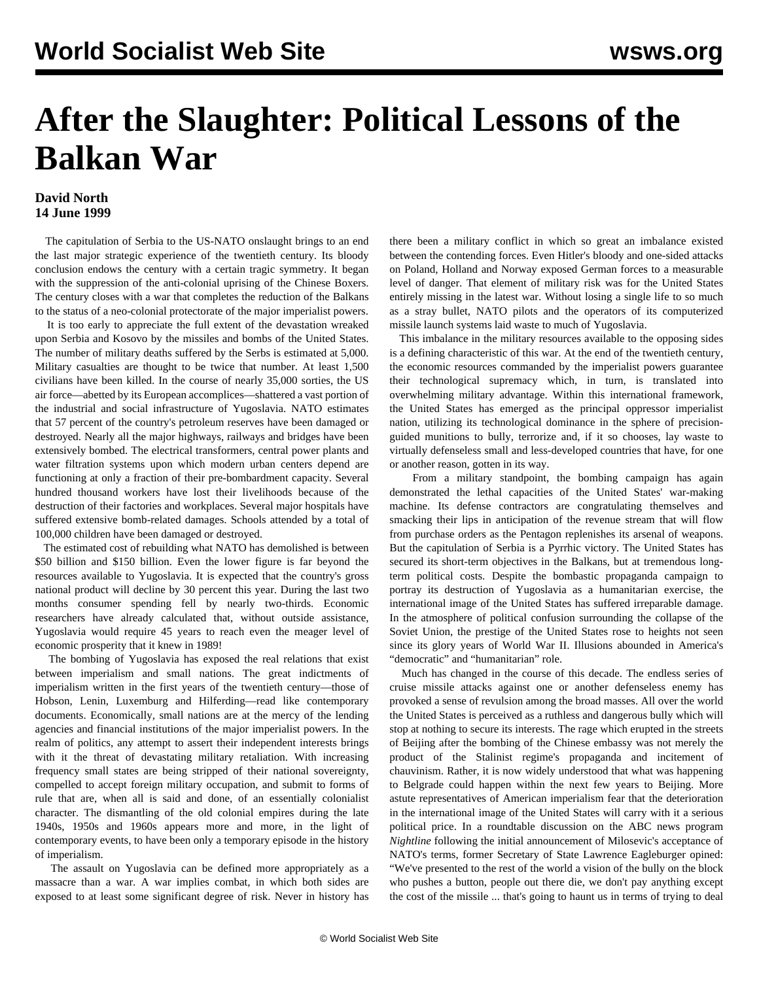## **After the Slaughter: Political Lessons of the Balkan War**

## **David North 14 June 1999**

 The capitulation of Serbia to the US-NATO onslaught brings to an end the last major strategic experience of the twentieth century. Its bloody conclusion endows the century with a certain tragic symmetry. It began with the suppression of the anti-colonial uprising of the Chinese Boxers. The century closes with a war that completes the reduction of the Balkans to the status of a neo-colonial protectorate of the major imperialist powers.

 It is too early to appreciate the full extent of the devastation wreaked upon Serbia and Kosovo by the missiles and bombs of the United States. The number of military deaths suffered by the Serbs is estimated at 5,000. Military casualties are thought to be twice that number. At least 1,500 civilians have been killed. In the course of nearly 35,000 sorties, the US air force—abetted by its European accomplices—shattered a vast portion of the industrial and social infrastructure of Yugoslavia. NATO estimates that 57 percent of the country's petroleum reserves have been damaged or destroyed. Nearly all the major highways, railways and bridges have been extensively bombed. The electrical transformers, central power plants and water filtration systems upon which modern urban centers depend are functioning at only a fraction of their pre-bombardment capacity. Several hundred thousand workers have lost their livelihoods because of the destruction of their factories and workplaces. Several major hospitals have suffered extensive bomb-related damages. Schools attended by a total of 100,000 children have been damaged or destroyed.

 The estimated cost of rebuilding what NATO has demolished is between \$50 billion and \$150 billion. Even the lower figure is far beyond the resources available to Yugoslavia. It is expected that the country's gross national product will decline by 30 percent this year. During the last two months consumer spending fell by nearly two-thirds. Economic researchers have already calculated that, without outside assistance, Yugoslavia would require 45 years to reach even the meager level of economic prosperity that it knew in 1989!

 The bombing of Yugoslavia has exposed the real relations that exist between imperialism and small nations. The great indictments of imperialism written in the first years of the twentieth century—those of Hobson, Lenin, Luxemburg and Hilferding—read like contemporary documents. Economically, small nations are at the mercy of the lending agencies and financial institutions of the major imperialist powers. In the realm of politics, any attempt to assert their independent interests brings with it the threat of devastating military retaliation. With increasing frequency small states are being stripped of their national sovereignty, compelled to accept foreign military occupation, and submit to forms of rule that are, when all is said and done, of an essentially colonialist character. The dismantling of the old colonial empires during the late 1940s, 1950s and 1960s appears more and more, in the light of contemporary events, to have been only a temporary episode in the history of imperialism.

 The assault on Yugoslavia can be defined more appropriately as a massacre than a war. A war implies combat, in which both sides are exposed to at least some significant degree of risk. Never in history has

there been a military conflict in which so great an imbalance existed between the contending forces. Even Hitler's bloody and one-sided attacks on Poland, Holland and Norway exposed German forces to a measurable level of danger. That element of military risk was for the United States entirely missing in the latest war. Without losing a single life to so much as a stray bullet, NATO pilots and the operators of its computerized missile launch systems laid waste to much of Yugoslavia.

 This imbalance in the military resources available to the opposing sides is a defining characteristic of this war. At the end of the twentieth century, the economic resources commanded by the imperialist powers guarantee their technological supremacy which, in turn, is translated into overwhelming military advantage. Within this international framework, the United States has emerged as the principal oppressor imperialist nation, utilizing its technological dominance in the sphere of precisionguided munitions to bully, terrorize and, if it so chooses, lay waste to virtually defenseless small and less-developed countries that have, for one or another reason, gotten in its way.

 From a military standpoint, the bombing campaign has again demonstrated the lethal capacities of the United States' war-making machine. Its defense contractors are congratulating themselves and smacking their lips in anticipation of the revenue stream that will flow from purchase orders as the Pentagon replenishes its arsenal of weapons. But the capitulation of Serbia is a Pyrrhic victory. The United States has secured its short-term objectives in the Balkans, but at tremendous longterm political costs. Despite the bombastic propaganda campaign to portray its destruction of Yugoslavia as a humanitarian exercise, the international image of the United States has suffered irreparable damage. In the atmosphere of political confusion surrounding the collapse of the Soviet Union, the prestige of the United States rose to heights not seen since its glory years of World War II. Illusions abounded in America's "democratic" and "humanitarian" role.

 Much has changed in the course of this decade. The endless series of cruise missile attacks against one or another defenseless enemy has provoked a sense of revulsion among the broad masses. All over the world the United States is perceived as a ruthless and dangerous bully which will stop at nothing to secure its interests. The rage which erupted in the streets of Beijing after the bombing of the Chinese embassy was not merely the product of the Stalinist regime's propaganda and incitement of chauvinism. Rather, it is now widely understood that what was happening to Belgrade could happen within the next few years to Beijing. More astute representatives of American imperialism fear that the deterioration in the international image of the United States will carry with it a serious political price. In a roundtable discussion on the ABC news program *Nightline* following the initial announcement of Milosevic's acceptance of NATO's terms, former Secretary of State Lawrence Eagleburger opined: "We've presented to the rest of the world a vision of the bully on the block who pushes a button, people out there die, we don't pay anything except the cost of the missile ... that's going to haunt us in terms of trying to deal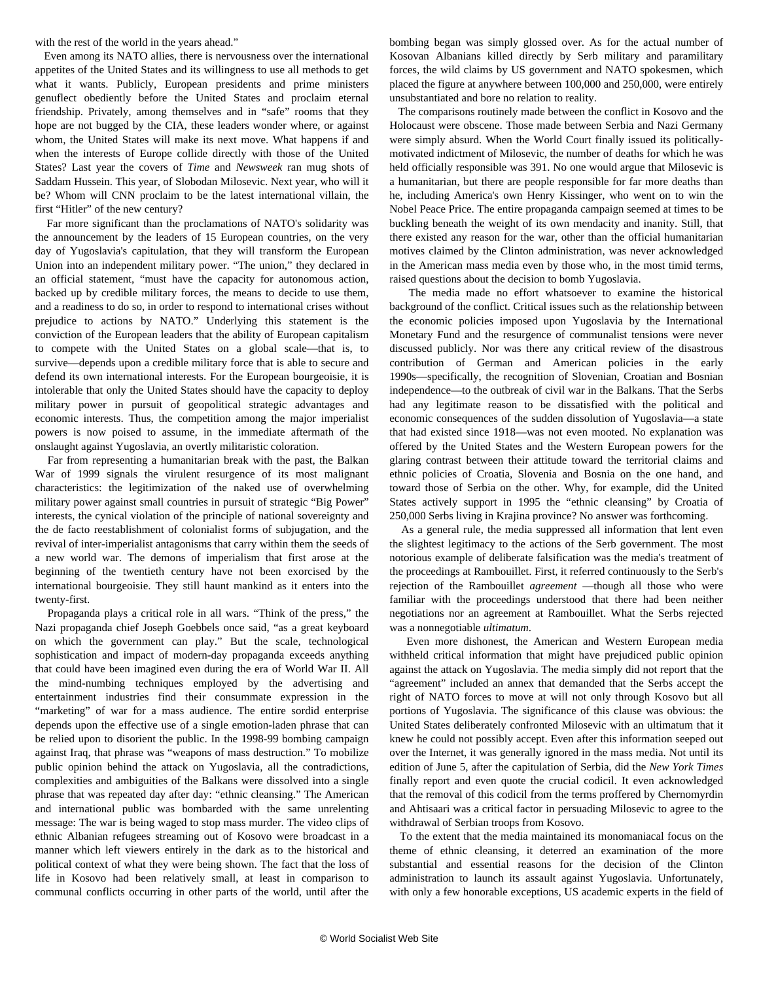with the rest of the world in the years ahead."

 Even among its NATO allies, there is nervousness over the international appetites of the United States and its willingness to use all methods to get what it wants. Publicly, European presidents and prime ministers genuflect obediently before the United States and proclaim eternal friendship. Privately, among themselves and in "safe" rooms that they hope are not bugged by the CIA, these leaders wonder where, or against whom, the United States will make its next move. What happens if and when the interests of Europe collide directly with those of the United States? Last year the covers of *Time* and *Newsweek* ran mug shots of Saddam Hussein. This year, of Slobodan Milosevic. Next year, who will it be? Whom will CNN proclaim to be the latest international villain, the first "Hitler" of the new century?

 Far more significant than the proclamations of NATO's solidarity was the announcement by the leaders of 15 European countries, on the very day of Yugoslavia's capitulation, that they will transform the European Union into an independent military power. "The union," they declared in an official statement, "must have the capacity for autonomous action, backed up by credible military forces, the means to decide to use them, and a readiness to do so, in order to respond to international crises without prejudice to actions by NATO." Underlying this statement is the conviction of the European leaders that the ability of European capitalism to compete with the United States on a global scale—that is, to survive—depends upon a credible military force that is able to secure and defend its own international interests. For the European bourgeoisie, it is intolerable that only the United States should have the capacity to deploy military power in pursuit of geopolitical strategic advantages and economic interests. Thus, the competition among the major imperialist powers is now poised to assume, in the immediate aftermath of the onslaught against Yugoslavia, an overtly militaristic coloration.

 Far from representing a humanitarian break with the past, the Balkan War of 1999 signals the virulent resurgence of its most malignant characteristics: the legitimization of the naked use of overwhelming military power against small countries in pursuit of strategic "Big Power" interests, the cynical violation of the principle of national sovereignty and the de facto reestablishment of colonialist forms of subjugation, and the revival of inter-imperialist antagonisms that carry within them the seeds of a new world war. The demons of imperialism that first arose at the beginning of the twentieth century have not been exorcised by the international bourgeoisie. They still haunt mankind as it enters into the twenty-first.

 Propaganda plays a critical role in all wars. "Think of the press," the Nazi propaganda chief Joseph Goebbels once said, "as a great keyboard on which the government can play." But the scale, technological sophistication and impact of modern-day propaganda exceeds anything that could have been imagined even during the era of World War II. All the mind-numbing techniques employed by the advertising and entertainment industries find their consummate expression in the "marketing" of war for a mass audience. The entire sordid enterprise depends upon the effective use of a single emotion-laden phrase that can be relied upon to disorient the public. In the 1998-99 bombing campaign against Iraq, that phrase was "weapons of mass destruction." To mobilize public opinion behind the attack on Yugoslavia, all the contradictions, complexities and ambiguities of the Balkans were dissolved into a single phrase that was repeated day after day: "ethnic cleansing." The American and international public was bombarded with the same unrelenting message: The war is being waged to stop mass murder. The video clips of ethnic Albanian refugees streaming out of Kosovo were broadcast in a manner which left viewers entirely in the dark as to the historical and political context of what they were being shown. The fact that the loss of life in Kosovo had been relatively small, at least in comparison to communal conflicts occurring in other parts of the world, until after the

bombing began was simply glossed over. As for the actual number of Kosovan Albanians killed directly by Serb military and paramilitary forces, the wild claims by US government and NATO spokesmen, which placed the figure at anywhere between 100,000 and 250,000, were entirely unsubstantiated and bore no relation to reality.

 The comparisons routinely made between the conflict in Kosovo and the Holocaust were obscene. Those made between Serbia and Nazi Germany were simply absurd. When the World Court finally issued its politicallymotivated indictment of Milosevic, the number of deaths for which he was held officially responsible was 391. No one would argue that Milosevic is a humanitarian, but there are people responsible for far more deaths than he, including America's own Henry Kissinger, who went on to win the Nobel Peace Price. The entire propaganda campaign seemed at times to be buckling beneath the weight of its own mendacity and inanity. Still, that there existed any reason for the war, other than the official humanitarian motives claimed by the Clinton administration, was never acknowledged in the American mass media even by those who, in the most timid terms, raised questions about the decision to bomb Yugoslavia.

 The media made no effort whatsoever to examine the historical background of the conflict. Critical issues such as the relationship between the economic policies imposed upon Yugoslavia by the International Monetary Fund and the resurgence of communalist tensions were never discussed publicly. Nor was there any critical review of the disastrous contribution of German and American policies in the early 1990s—specifically, the recognition of Slovenian, Croatian and Bosnian independence—to the outbreak of civil war in the Balkans. That the Serbs had any legitimate reason to be dissatisfied with the political and economic consequences of the sudden dissolution of Yugoslavia—a state that had existed since 1918—was not even mooted. No explanation was offered by the United States and the Western European powers for the glaring contrast between their attitude toward the territorial claims and ethnic policies of Croatia, Slovenia and Bosnia on the one hand, and toward those of Serbia on the other. Why, for example, did the United States actively support in 1995 the "ethnic cleansing" by Croatia of 250,000 Serbs living in Krajina province? No answer was forthcoming.

 As a general rule, the media suppressed all information that lent even the slightest legitimacy to the actions of the Serb government. The most notorious example of deliberate falsification was the media's treatment of the proceedings at Rambouillet. First, it referred continuously to the Serb's rejection of the Rambouillet *agreement* —though all those who were familiar with the proceedings understood that there had been neither negotiations nor an agreement at Rambouillet. What the Serbs rejected was a nonnegotiable *ultimatum*.

 Even more dishonest, the American and Western European media withheld critical information that might have prejudiced public opinion against the attack on Yugoslavia. The media simply did not report that the "agreement" included an annex that demanded that the Serbs accept the right of NATO forces to move at will not only through Kosovo but all portions of Yugoslavia. The significance of this clause was obvious: the United States deliberately confronted Milosevic with an ultimatum that it knew he could not possibly accept. Even after this information seeped out over the Internet, it was generally ignored in the mass media. Not until its edition of June 5, after the capitulation of Serbia, did the *New York Times* finally report and even quote the crucial codicil. It even acknowledged that the removal of this codicil from the terms proffered by Chernomyrdin and Ahtisaari was a critical factor in persuading Milosevic to agree to the withdrawal of Serbian troops from Kosovo.

 To the extent that the media maintained its monomaniacal focus on the theme of ethnic cleansing, it deterred an examination of the more substantial and essential reasons for the decision of the Clinton administration to launch its assault against Yugoslavia. Unfortunately, with only a few honorable exceptions, US academic experts in the field of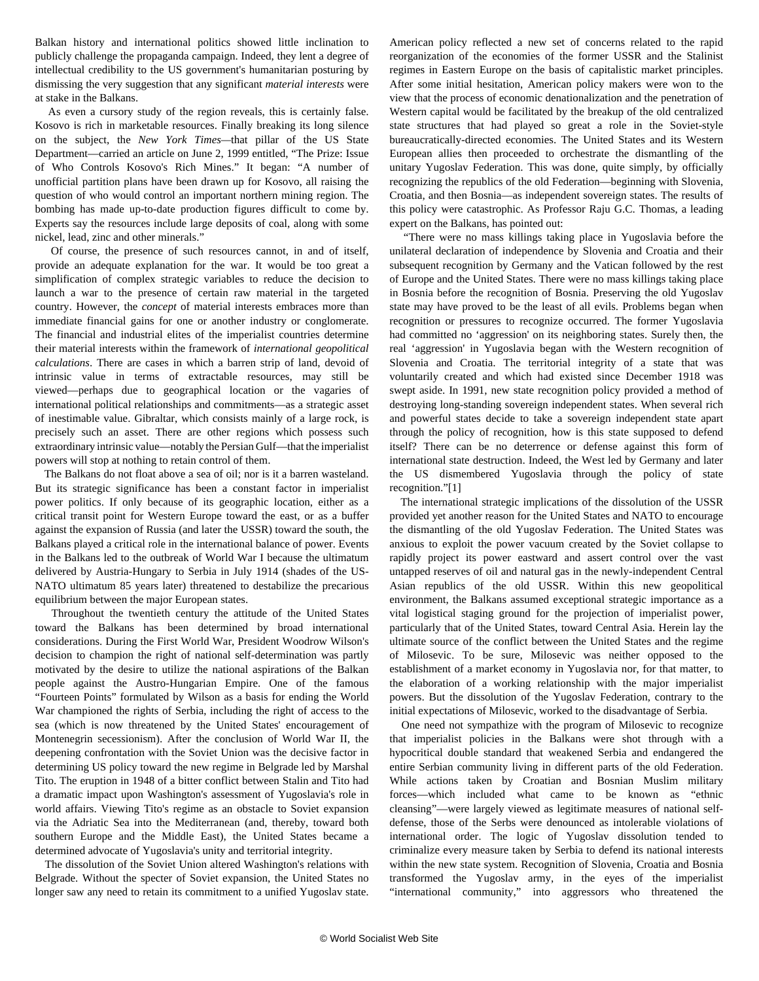Balkan history and international politics showed little inclination to publicly challenge the propaganda campaign. Indeed, they lent a degree of intellectual credibility to the US government's humanitarian posturing by dismissing the very suggestion that any significant *material interests* were at stake in the Balkans.

 As even a cursory study of the region reveals, this is certainly false. Kosovo is rich in marketable resources. Finally breaking its long silence on the subject, the *New York Times—*that pillar of the US State Department—carried an article on June 2, 1999 entitled, "The Prize: Issue of Who Controls Kosovo's Rich Mines." It began: "A number of unofficial partition plans have been drawn up for Kosovo, all raising the question of who would control an important northern mining region. The bombing has made up-to-date production figures difficult to come by. Experts say the resources include large deposits of coal, along with some nickel, lead, zinc and other minerals."

 Of course, the presence of such resources cannot, in and of itself, provide an adequate explanation for the war. It would be too great a simplification of complex strategic variables to reduce the decision to launch a war to the presence of certain raw material in the targeted country. However, the *concept* of material interests embraces more than immediate financial gains for one or another industry or conglomerate. The financial and industrial elites of the imperialist countries determine their material interests within the framework of *international geopolitical calculations*. There are cases in which a barren strip of land, devoid of intrinsic value in terms of extractable resources, may still be viewed—perhaps due to geographical location or the vagaries of international political relationships and commitments—as a strategic asset of inestimable value. Gibraltar, which consists mainly of a large rock, is precisely such an asset. There are other regions which possess such extraordinary intrinsic value—notably the Persian Gulf—that the imperialist powers will stop at nothing to retain control of them.

 The Balkans do not float above a sea of oil; nor is it a barren wasteland. But its strategic significance has been a constant factor in imperialist power politics. If only because of its geographic location, either as a critical transit point for Western Europe toward the east, or as a buffer against the expansion of Russia (and later the USSR) toward the south, the Balkans played a critical role in the international balance of power. Events in the Balkans led to the outbreak of World War I because the ultimatum delivered by Austria-Hungary to Serbia in July 1914 (shades of the US-NATO ultimatum 85 years later) threatened to destabilize the precarious equilibrium between the major European states.

 Throughout the twentieth century the attitude of the United States toward the Balkans has been determined by broad international considerations. During the First World War, President Woodrow Wilson's decision to champion the right of national self-determination was partly motivated by the desire to utilize the national aspirations of the Balkan people against the Austro-Hungarian Empire. One of the famous "Fourteen Points" formulated by Wilson as a basis for ending the World War championed the rights of Serbia, including the right of access to the sea (which is now threatened by the United States' encouragement of Montenegrin secessionism). After the conclusion of World War II, the deepening confrontation with the Soviet Union was the decisive factor in determining US policy toward the new regime in Belgrade led by Marshal Tito. The eruption in 1948 of a bitter conflict between Stalin and Tito had a dramatic impact upon Washington's assessment of Yugoslavia's role in world affairs. Viewing Tito's regime as an obstacle to Soviet expansion via the Adriatic Sea into the Mediterranean (and, thereby, toward both southern Europe and the Middle East), the United States became a determined advocate of Yugoslavia's unity and territorial integrity.

 The dissolution of the Soviet Union altered Washington's relations with Belgrade. Without the specter of Soviet expansion, the United States no longer saw any need to retain its commitment to a unified Yugoslav state.

American policy reflected a new set of concerns related to the rapid reorganization of the economies of the former USSR and the Stalinist regimes in Eastern Europe on the basis of capitalistic market principles. After some initial hesitation, American policy makers were won to the view that the process of economic denationalization and the penetration of Western capital would be facilitated by the breakup of the old centralized state structures that had played so great a role in the Soviet-style bureaucratically-directed economies. The United States and its Western European allies then proceeded to orchestrate the dismantling of the unitary Yugoslav Federation. This was done, quite simply, by officially recognizing the republics of the old Federation—beginning with Slovenia, Croatia, and then Bosnia—as independent sovereign states. The results of this policy were catastrophic. As Professor Raju G.C. Thomas, a leading expert on the Balkans, has pointed out:

 "There were no mass killings taking place in Yugoslavia before the unilateral declaration of independence by Slovenia and Croatia and their subsequent recognition by Germany and the Vatican followed by the rest of Europe and the United States. There were no mass killings taking place in Bosnia before the recognition of Bosnia. Preserving the old Yugoslav state may have proved to be the least of all evils. Problems began when recognition or pressures to recognize occurred. The former Yugoslavia had committed no 'aggression' on its neighboring states. Surely then, the real 'aggression' in Yugoslavia began with the Western recognition of Slovenia and Croatia. The territorial integrity of a state that was voluntarily created and which had existed since December 1918 was swept aside. In 1991, new state recognition policy provided a method of destroying long-standing sovereign independent states. When several rich and powerful states decide to take a sovereign independent state apart through the policy of recognition, how is this state supposed to defend itself? There can be no deterrence or defense against this form of international state destruction. Indeed, the West led by Germany and later the US dismembered Yugoslavia through the policy of state recognition."[1]

 The international strategic implications of the dissolution of the USSR provided yet another reason for the United States and NATO to encourage the dismantling of the old Yugoslav Federation. The United States was anxious to exploit the power vacuum created by the Soviet collapse to rapidly project its power eastward and assert control over the vast untapped reserves of oil and natural gas in the newly-independent Central Asian republics of the old USSR. Within this new geopolitical environment, the Balkans assumed exceptional strategic importance as a vital logistical staging ground for the projection of imperialist power, particularly that of the United States, toward Central Asia. Herein lay the ultimate source of the conflict between the United States and the regime of Milosevic. To be sure, Milosevic was neither opposed to the establishment of a market economy in Yugoslavia nor, for that matter, to the elaboration of a working relationship with the major imperialist powers. But the dissolution of the Yugoslav Federation, contrary to the initial expectations of Milosevic, worked to the disadvantage of Serbia.

 One need not sympathize with the program of Milosevic to recognize that imperialist policies in the Balkans were shot through with a hypocritical double standard that weakened Serbia and endangered the entire Serbian community living in different parts of the old Federation. While actions taken by Croatian and Bosnian Muslim military forces—which included what came to be known as "ethnic cleansing"—were largely viewed as legitimate measures of national selfdefense, those of the Serbs were denounced as intolerable violations of international order. The logic of Yugoslav dissolution tended to criminalize every measure taken by Serbia to defend its national interests within the new state system. Recognition of Slovenia, Croatia and Bosnia transformed the Yugoslav army, in the eyes of the imperialist "international community," into aggressors who threatened the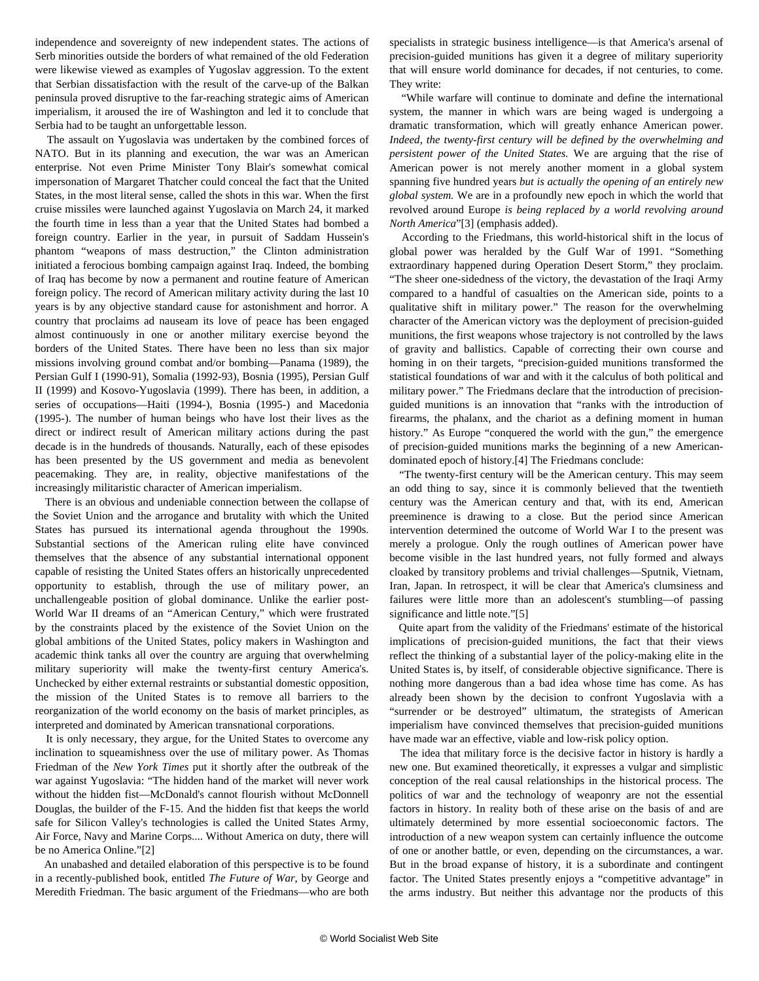independence and sovereignty of new independent states. The actions of Serb minorities outside the borders of what remained of the old Federation were likewise viewed as examples of Yugoslav aggression. To the extent that Serbian dissatisfaction with the result of the carve-up of the Balkan peninsula proved disruptive to the far-reaching strategic aims of American imperialism, it aroused the ire of Washington and led it to conclude that Serbia had to be taught an unforgettable lesson.

 The assault on Yugoslavia was undertaken by the combined forces of NATO. But in its planning and execution, the war was an American enterprise. Not even Prime Minister Tony Blair's somewhat comical impersonation of Margaret Thatcher could conceal the fact that the United States, in the most literal sense, called the shots in this war. When the first cruise missiles were launched against Yugoslavia on March 24, it marked the fourth time in less than a year that the United States had bombed a foreign country. Earlier in the year, in pursuit of Saddam Hussein's phantom "weapons of mass destruction," the Clinton administration initiated a ferocious bombing campaign against Iraq. Indeed, the bombing of Iraq has become by now a permanent and routine feature of American foreign policy. The record of American military activity during the last 10 years is by any objective standard cause for astonishment and horror. A country that proclaims ad nauseam its love of peace has been engaged almost continuously in one or another military exercise beyond the borders of the United States. There have been no less than six major missions involving ground combat and/or bombing—Panama (1989), the Persian Gulf I (1990-91), Somalia (1992-93), Bosnia (1995), Persian Gulf II (1999) and Kosovo-Yugoslavia (1999). There has been, in addition, a series of occupations—Haiti (1994-), Bosnia (1995-) and Macedonia (1995-). The number of human beings who have lost their lives as the direct or indirect result of American military actions during the past decade is in the hundreds of thousands. Naturally, each of these episodes has been presented by the US government and media as benevolent peacemaking. They are, in reality, objective manifestations of the increasingly militaristic character of American imperialism.

 There is an obvious and undeniable connection between the collapse of the Soviet Union and the arrogance and brutality with which the United States has pursued its international agenda throughout the 1990s. Substantial sections of the American ruling elite have convinced themselves that the absence of any substantial international opponent capable of resisting the United States offers an historically unprecedented opportunity to establish, through the use of military power, an unchallengeable position of global dominance. Unlike the earlier post-World War II dreams of an "American Century," which were frustrated by the constraints placed by the existence of the Soviet Union on the global ambitions of the United States, policy makers in Washington and academic think tanks all over the country are arguing that overwhelming military superiority will make the twenty-first century America's. Unchecked by either external restraints or substantial domestic opposition, the mission of the United States is to remove all barriers to the reorganization of the world economy on the basis of market principles, as interpreted and dominated by American transnational corporations.

 It is only necessary, they argue, for the United States to overcome any inclination to squeamishness over the use of military power. As Thomas Friedman of the *New York Times* put it shortly after the outbreak of the war against Yugoslavia: "The hidden hand of the market will never work without the hidden fist—McDonald's cannot flourish without McDonnell Douglas, the builder of the F-15. And the hidden fist that keeps the world safe for Silicon Valley's technologies is called the United States Army, Air Force, Navy and Marine Corps.... Without America on duty, there will be no America Online."[2]

 An unabashed and detailed elaboration of this perspective is to be found in a recently-published book, entitled *The Future of War*, by George and Meredith Friedman. The basic argument of the Friedmans—who are both

specialists in strategic business intelligence—is that America's arsenal of precision-guided munitions has given it a degree of military superiority that will ensure world dominance for decades, if not centuries, to come. They write:

 "While warfare will continue to dominate and define the international system, the manner in which wars are being waged is undergoing a dramatic transformation, which will greatly enhance American power. *Indeed, the twenty-first century will be defined by the overwhelming and persistent power of the United States.* We are arguing that the rise of American power is not merely another moment in a global system spanning five hundred years *but is actually the opening of an entirely new global system.* We are in a profoundly new epoch in which the world that revolved around Europe *is being replaced by a world revolving around North America*"[3] (emphasis added).

 According to the Friedmans, this world-historical shift in the locus of global power was heralded by the Gulf War of 1991. "Something extraordinary happened during Operation Desert Storm," they proclaim. "The sheer one-sidedness of the victory, the devastation of the Iraqi Army compared to a handful of casualties on the American side, points to a qualitative shift in military power." The reason for the overwhelming character of the American victory was the deployment of precision-guided munitions, the first weapons whose trajectory is not controlled by the laws of gravity and ballistics. Capable of correcting their own course and homing in on their targets, "precision-guided munitions transformed the statistical foundations of war and with it the calculus of both political and military power." The Friedmans declare that the introduction of precisionguided munitions is an innovation that "ranks with the introduction of firearms, the phalanx, and the chariot as a defining moment in human history." As Europe "conquered the world with the gun," the emergence of precision-guided munitions marks the beginning of a new Americandominated epoch of history.[4] The Friedmans conclude:

 "The twenty-first century will be the American century. This may seem an odd thing to say, since it is commonly believed that the twentieth century was the American century and that, with its end, American preeminence is drawing to a close. But the period since American intervention determined the outcome of World War I to the present was merely a prologue. Only the rough outlines of American power have become visible in the last hundred years, not fully formed and always cloaked by transitory problems and trivial challenges—Sputnik, Vietnam, Iran, Japan. In retrospect, it will be clear that America's clumsiness and failures were little more than an adolescent's stumbling—of passing significance and little note."[5]

 Quite apart from the validity of the Friedmans' estimate of the historical implications of precision-guided munitions, the fact that their views reflect the thinking of a substantial layer of the policy-making elite in the United States is, by itself, of considerable objective significance. There is nothing more dangerous than a bad idea whose time has come. As has already been shown by the decision to confront Yugoslavia with a "surrender or be destroyed" ultimatum, the strategists of American imperialism have convinced themselves that precision-guided munitions have made war an effective, viable and low-risk policy option.

 The idea that military force is the decisive factor in history is hardly a new one. But examined theoretically, it expresses a vulgar and simplistic conception of the real causal relationships in the historical process. The politics of war and the technology of weaponry are not the essential factors in history. In reality both of these arise on the basis of and are ultimately determined by more essential socioeconomic factors. The introduction of a new weapon system can certainly influence the outcome of one or another battle, or even, depending on the circumstances, a war. But in the broad expanse of history, it is a subordinate and contingent factor. The United States presently enjoys a "competitive advantage" in the arms industry. But neither this advantage nor the products of this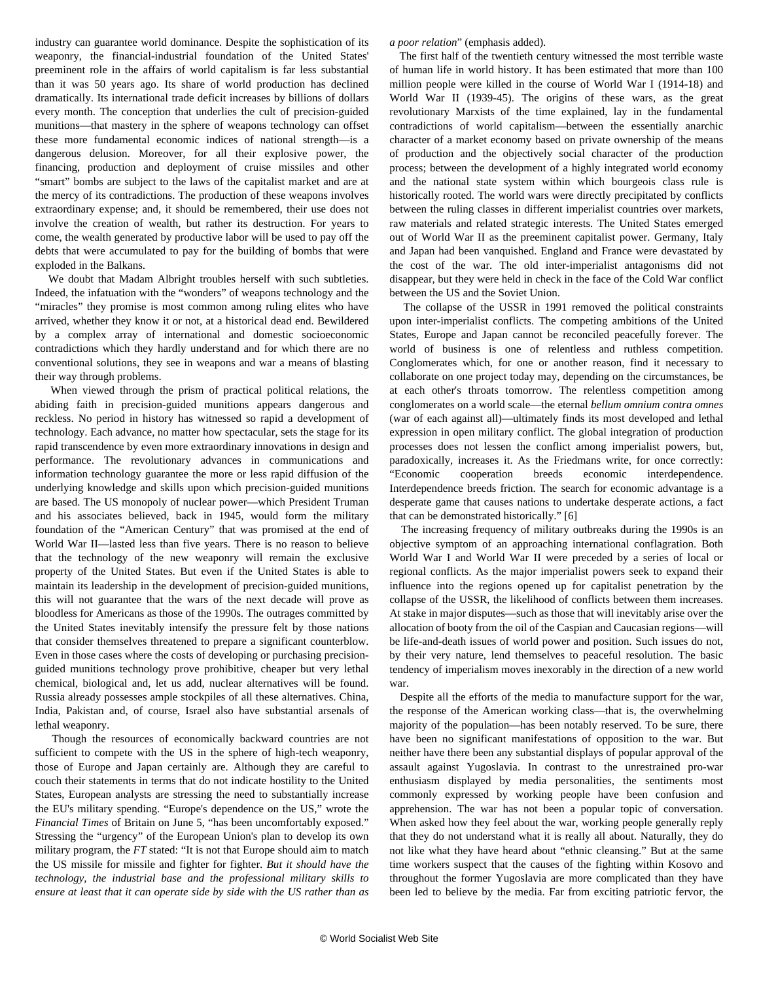industry can guarantee world dominance. Despite the sophistication of its weaponry, the financial-industrial foundation of the United States' preeminent role in the affairs of world capitalism is far less substantial than it was 50 years ago. Its share of world production has declined dramatically. Its international trade deficit increases by billions of dollars every month. The conception that underlies the cult of precision-guided munitions—that mastery in the sphere of weapons technology can offset these more fundamental economic indices of national strength—is a dangerous delusion. Moreover, for all their explosive power, the financing, production and deployment of cruise missiles and other "smart" bombs are subject to the laws of the capitalist market and are at the mercy of its contradictions. The production of these weapons involves extraordinary expense; and, it should be remembered, their use does not involve the creation of wealth, but rather its destruction. For years to come, the wealth generated by productive labor will be used to pay off the debts that were accumulated to pay for the building of bombs that were exploded in the Balkans.

 We doubt that Madam Albright troubles herself with such subtleties. Indeed, the infatuation with the "wonders" of weapons technology and the "miracles" they promise is most common among ruling elites who have arrived, whether they know it or not, at a historical dead end. Bewildered by a complex array of international and domestic socioeconomic contradictions which they hardly understand and for which there are no conventional solutions, they see in weapons and war a means of blasting their way through problems.

 When viewed through the prism of practical political relations, the abiding faith in precision-guided munitions appears dangerous and reckless. No period in history has witnessed so rapid a development of technology. Each advance, no matter how spectacular, sets the stage for its rapid transcendence by even more extraordinary innovations in design and performance. The revolutionary advances in communications and information technology guarantee the more or less rapid diffusion of the underlying knowledge and skills upon which precision-guided munitions are based. The US monopoly of nuclear power—which President Truman and his associates believed, back in 1945, would form the military foundation of the "American Century" that was promised at the end of World War II—lasted less than five years. There is no reason to believe that the technology of the new weaponry will remain the exclusive property of the United States. But even if the United States is able to maintain its leadership in the development of precision-guided munitions, this will not guarantee that the wars of the next decade will prove as bloodless for Americans as those of the 1990s. The outrages committed by the United States inevitably intensify the pressure felt by those nations that consider themselves threatened to prepare a significant counterblow. Even in those cases where the costs of developing or purchasing precisionguided munitions technology prove prohibitive, cheaper but very lethal chemical, biological and, let us add, nuclear alternatives will be found. Russia already possesses ample stockpiles of all these alternatives. China, India, Pakistan and, of course, Israel also have substantial arsenals of lethal weaponry.

 Though the resources of economically backward countries are not sufficient to compete with the US in the sphere of high-tech weaponry, those of Europe and Japan certainly are. Although they are careful to couch their statements in terms that do not indicate hostility to the United States, European analysts are stressing the need to substantially increase the EU's military spending. "Europe's dependence on the US," wrote the *Financial Times* of Britain on June 5, "has been uncomfortably exposed." Stressing the "urgency" of the European Union's plan to develop its own military program, the *FT* stated: "It is not that Europe should aim to match the US missile for missile and fighter for fighter. *But it should have the technology, the industrial base and the professional military skills to ensure at least that it can operate side by side with the US rather than as*

*a poor relation*" (emphasis added).

 The first half of the twentieth century witnessed the most terrible waste of human life in world history. It has been estimated that more than 100 million people were killed in the course of World War I (1914-18) and World War II (1939-45). The origins of these wars, as the great revolutionary Marxists of the time explained, lay in the fundamental contradictions of world capitalism—between the essentially anarchic character of a market economy based on private ownership of the means of production and the objectively social character of the production process; between the development of a highly integrated world economy and the national state system within which bourgeois class rule is historically rooted. The world wars were directly precipitated by conflicts between the ruling classes in different imperialist countries over markets, raw materials and related strategic interests. The United States emerged out of World War II as the preeminent capitalist power. Germany, Italy and Japan had been vanquished. England and France were devastated by the cost of the war. The old inter-imperialist antagonisms did not disappear, but they were held in check in the face of the Cold War conflict between the US and the Soviet Union.

 The collapse of the USSR in 1991 removed the political constraints upon inter-imperialist conflicts. The competing ambitions of the United States, Europe and Japan cannot be reconciled peacefully forever. The world of business is one of relentless and ruthless competition. Conglomerates which, for one or another reason, find it necessary to collaborate on one project today may, depending on the circumstances, be at each other's throats tomorrow. The relentless competition among conglomerates on a world scale—the eternal *bellum omnium contra omnes* (war of each against all)—ultimately finds its most developed and lethal expression in open military conflict. The global integration of production processes does not lessen the conflict among imperialist powers, but, paradoxically, increases it. As the Friedmans write, for once correctly: "Economic cooperation breeds economic interdependence. Interdependence breeds friction. The search for economic advantage is a desperate game that causes nations to undertake desperate actions, a fact that can be demonstrated historically." [6]

 The increasing frequency of military outbreaks during the 1990s is an objective symptom of an approaching international conflagration. Both World War I and World War II were preceded by a series of local or regional conflicts. As the major imperialist powers seek to expand their influence into the regions opened up for capitalist penetration by the collapse of the USSR, the likelihood of conflicts between them increases. At stake in major disputes—such as those that will inevitably arise over the allocation of booty from the oil of the Caspian and Caucasian regions—will be life-and-death issues of world power and position. Such issues do not, by their very nature, lend themselves to peaceful resolution. The basic tendency of imperialism moves inexorably in the direction of a new world war.

 Despite all the efforts of the media to manufacture support for the war, the response of the American working class—that is, the overwhelming majority of the population—has been notably reserved. To be sure, there have been no significant manifestations of opposition to the war. But neither have there been any substantial displays of popular approval of the assault against Yugoslavia. In contrast to the unrestrained pro-war enthusiasm displayed by media personalities, the sentiments most commonly expressed by working people have been confusion and apprehension. The war has not been a popular topic of conversation. When asked how they feel about the war, working people generally reply that they do not understand what it is really all about. Naturally, they do not like what they have heard about "ethnic cleansing." But at the same time workers suspect that the causes of the fighting within Kosovo and throughout the former Yugoslavia are more complicated than they have been led to believe by the media. Far from exciting patriotic fervor, the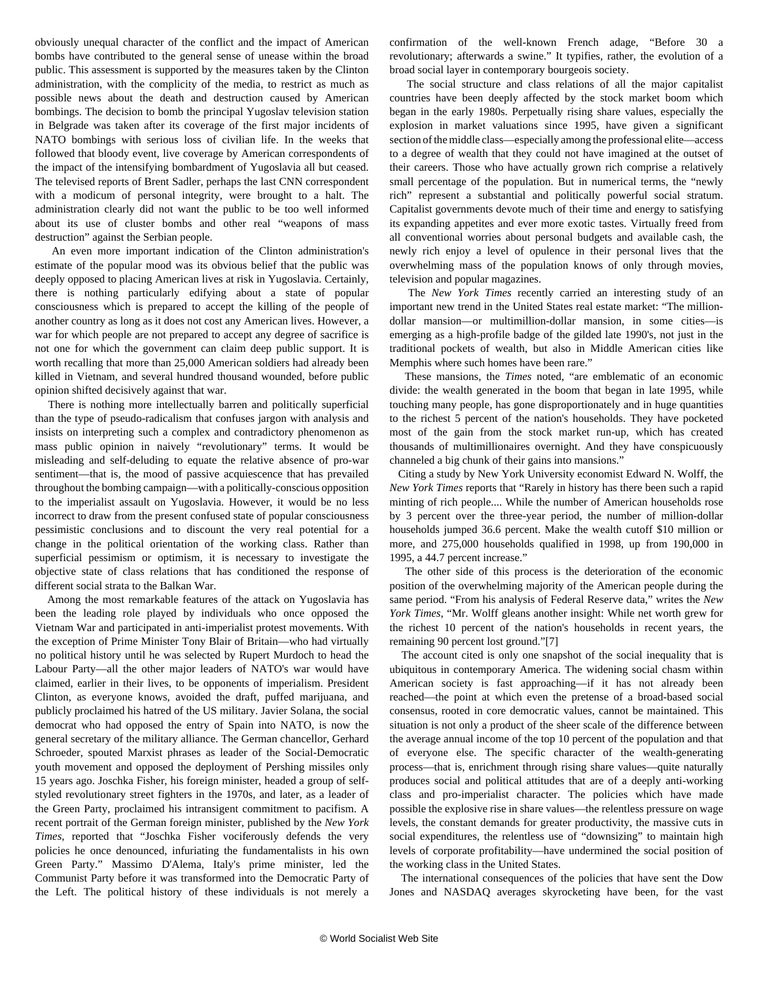obviously unequal character of the conflict and the impact of American bombs have contributed to the general sense of unease within the broad public. This assessment is supported by the measures taken by the Clinton administration, with the complicity of the media, to restrict as much as possible news about the death and destruction caused by American bombings. The decision to bomb the principal Yugoslav television station in Belgrade was taken after its coverage of the first major incidents of NATO bombings with serious loss of civilian life. In the weeks that followed that bloody event, live coverage by American correspondents of the impact of the intensifying bombardment of Yugoslavia all but ceased. The televised reports of Brent Sadler, perhaps the last CNN correspondent with a modicum of personal integrity, were brought to a halt. The administration clearly did not want the public to be too well informed about its use of cluster bombs and other real "weapons of mass destruction" against the Serbian people.

 An even more important indication of the Clinton administration's estimate of the popular mood was its obvious belief that the public was deeply opposed to placing American lives at risk in Yugoslavia. Certainly, there is nothing particularly edifying about a state of popular consciousness which is prepared to accept the killing of the people of another country as long as it does not cost any American lives. However, a war for which people are not prepared to accept any degree of sacrifice is not one for which the government can claim deep public support. It is worth recalling that more than 25,000 American soldiers had already been killed in Vietnam, and several hundred thousand wounded, before public opinion shifted decisively against that war.

 There is nothing more intellectually barren and politically superficial than the type of pseudo-radicalism that confuses jargon with analysis and insists on interpreting such a complex and contradictory phenomenon as mass public opinion in naively "revolutionary" terms. It would be misleading and self-deluding to equate the relative absence of pro-war sentiment—that is, the mood of passive acquiescence that has prevailed throughout the bombing campaign—with a politically-conscious opposition to the imperialist assault on Yugoslavia. However, it would be no less incorrect to draw from the present confused state of popular consciousness pessimistic conclusions and to discount the very real potential for a change in the political orientation of the working class. Rather than superficial pessimism or optimism, it is necessary to investigate the objective state of class relations that has conditioned the response of different social strata to the Balkan War.

 Among the most remarkable features of the attack on Yugoslavia has been the leading role played by individuals who once opposed the Vietnam War and participated in anti-imperialist protest movements. With the exception of Prime Minister Tony Blair of Britain—who had virtually no political history until he was selected by Rupert Murdoch to head the Labour Party—all the other major leaders of NATO's war would have claimed, earlier in their lives, to be opponents of imperialism. President Clinton, as everyone knows, avoided the draft, puffed marijuana, and publicly proclaimed his hatred of the US military. Javier Solana, the social democrat who had opposed the entry of Spain into NATO, is now the general secretary of the military alliance. The German chancellor, Gerhard Schroeder, spouted Marxist phrases as leader of the Social-Democratic youth movement and opposed the deployment of Pershing missiles only 15 years ago. Joschka Fisher, his foreign minister, headed a group of selfstyled revolutionary street fighters in the 1970s, and later, as a leader of the Green Party, proclaimed his intransigent commitment to pacifism. A recent portrait of the German foreign minister, published by the *New York Times,* reported that "Joschka Fisher vociferously defends the very policies he once denounced, infuriating the fundamentalists in his own Green Party." Massimo D'Alema, Italy's prime minister, led the Communist Party before it was transformed into the Democratic Party of the Left. The political history of these individuals is not merely a

confirmation of the well-known French adage, "Before 30 a revolutionary; afterwards a swine." It typifies, rather, the evolution of a broad social layer in contemporary bourgeois society.

 The social structure and class relations of all the major capitalist countries have been deeply affected by the stock market boom which began in the early 1980s. Perpetually rising share values, especially the explosion in market valuations since 1995, have given a significant section of the middle class—especially among the professional elite—access to a degree of wealth that they could not have imagined at the outset of their careers. Those who have actually grown rich comprise a relatively small percentage of the population. But in numerical terms, the "newly rich" represent a substantial and politically powerful social stratum. Capitalist governments devote much of their time and energy to satisfying its expanding appetites and ever more exotic tastes. Virtually freed from all conventional worries about personal budgets and available cash, the newly rich enjoy a level of opulence in their personal lives that the overwhelming mass of the population knows of only through movies, television and popular magazines.

 The *New York Times* recently carried an interesting study of an important new trend in the United States real estate market: "The milliondollar mansion—or multimillion-dollar mansion, in some cities—is emerging as a high-profile badge of the gilded late 1990's, not just in the traditional pockets of wealth, but also in Middle American cities like Memphis where such homes have been rare."

 These mansions, the *Times* noted, "are emblematic of an economic divide: the wealth generated in the boom that began in late 1995, while touching many people, has gone disproportionately and in huge quantities to the richest 5 percent of the nation's households. They have pocketed most of the gain from the stock market run-up, which has created thousands of multimillionaires overnight. And they have conspicuously channeled a big chunk of their gains into mansions."

 Citing a study by New York University economist Edward N. Wolff, the *New York Times* reports that "Rarely in history has there been such a rapid minting of rich people.... While the number of American households rose by 3 percent over the three-year period, the number of million-dollar households jumped 36.6 percent. Make the wealth cutoff \$10 million or more, and 275,000 households qualified in 1998, up from 190,000 in 1995, a 44.7 percent increase."

 The other side of this process is the deterioration of the economic position of the overwhelming majority of the American people during the same period. "From his analysis of Federal Reserve data," writes the *New York Times*, "Mr. Wolff gleans another insight: While net worth grew for the richest 10 percent of the nation's households in recent years, the remaining 90 percent lost ground."[7]

 The account cited is only one snapshot of the social inequality that is ubiquitous in contemporary America. The widening social chasm within American society is fast approaching—if it has not already been reached—the point at which even the pretense of a broad-based social consensus, rooted in core democratic values, cannot be maintained. This situation is not only a product of the sheer scale of the difference between the average annual income of the top 10 percent of the population and that of everyone else. The specific character of the wealth-generating process—that is, enrichment through rising share values—quite naturally produces social and political attitudes that are of a deeply anti-working class and pro-imperialist character. The policies which have made possible the explosive rise in share values—the relentless pressure on wage levels, the constant demands for greater productivity, the massive cuts in social expenditures, the relentless use of "downsizing" to maintain high levels of corporate profitability—have undermined the social position of the working class in the United States.

 The international consequences of the policies that have sent the Dow Jones and NASDAQ averages skyrocketing have been, for the vast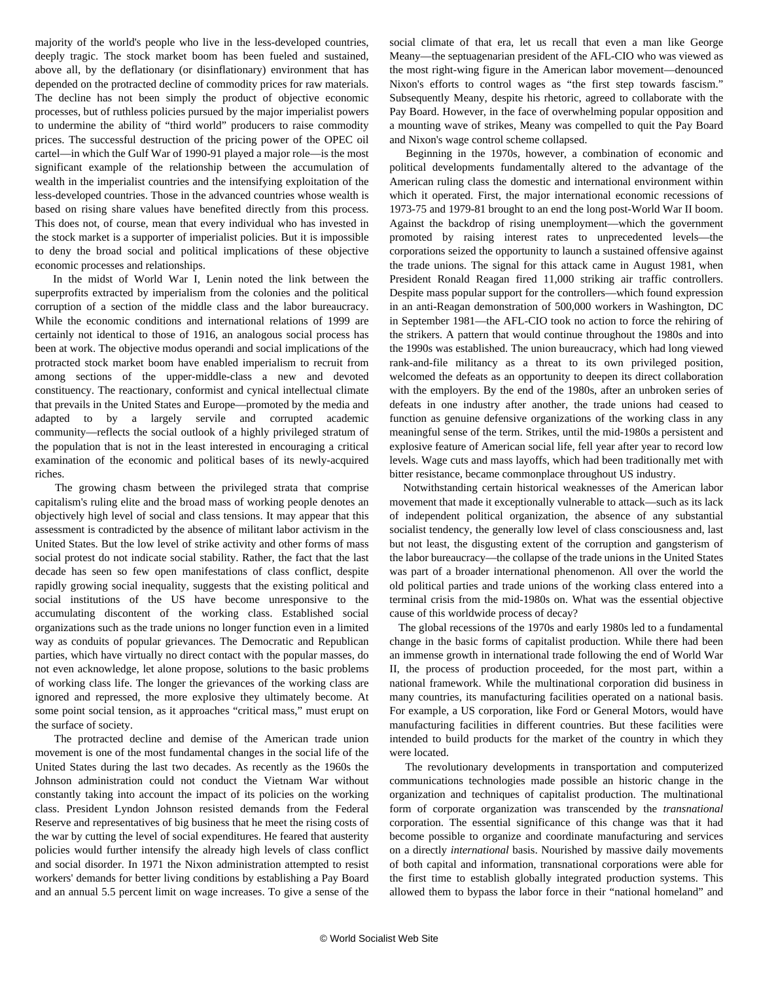majority of the world's people who live in the less-developed countries, deeply tragic. The stock market boom has been fueled and sustained, above all, by the deflationary (or disinflationary) environment that has depended on the protracted decline of commodity prices for raw materials. The decline has not been simply the product of objective economic processes, but of ruthless policies pursued by the major imperialist powers to undermine the ability of "third world" producers to raise commodity prices. The successful destruction of the pricing power of the OPEC oil cartel—in which the Gulf War of 1990-91 played a major role—is the most significant example of the relationship between the accumulation of wealth in the imperialist countries and the intensifying exploitation of the less-developed countries. Those in the advanced countries whose wealth is based on rising share values have benefited directly from this process. This does not, of course, mean that every individual who has invested in the stock market is a supporter of imperialist policies. But it is impossible to deny the broad social and political implications of these objective economic processes and relationships.

 In the midst of World War I, Lenin noted the link between the superprofits extracted by imperialism from the colonies and the political corruption of a section of the middle class and the labor bureaucracy. While the economic conditions and international relations of 1999 are certainly not identical to those of 1916, an analogous social process has been at work. The objective modus operandi and social implications of the protracted stock market boom have enabled imperialism to recruit from among sections of the upper-middle-class a new and devoted constituency. The reactionary, conformist and cynical intellectual climate that prevails in the United States and Europe—promoted by the media and adapted to by a largely servile and corrupted academic community—reflects the social outlook of a highly privileged stratum of the population that is not in the least interested in encouraging a critical examination of the economic and political bases of its newly-acquired riches.

 The growing chasm between the privileged strata that comprise capitalism's ruling elite and the broad mass of working people denotes an objectively high level of social and class tensions. It may appear that this assessment is contradicted by the absence of militant labor activism in the United States. But the low level of strike activity and other forms of mass social protest do not indicate social stability. Rather, the fact that the last decade has seen so few open manifestations of class conflict, despite rapidly growing social inequality, suggests that the existing political and social institutions of the US have become unresponsive to the accumulating discontent of the working class. Established social organizations such as the trade unions no longer function even in a limited way as conduits of popular grievances. The Democratic and Republican parties, which have virtually no direct contact with the popular masses, do not even acknowledge, let alone propose, solutions to the basic problems of working class life. The longer the grievances of the working class are ignored and repressed, the more explosive they ultimately become. At some point social tension, as it approaches "critical mass," must erupt on the surface of society.

 The protracted decline and demise of the American trade union movement is one of the most fundamental changes in the social life of the United States during the last two decades. As recently as the 1960s the Johnson administration could not conduct the Vietnam War without constantly taking into account the impact of its policies on the working class. President Lyndon Johnson resisted demands from the Federal Reserve and representatives of big business that he meet the rising costs of the war by cutting the level of social expenditures. He feared that austerity policies would further intensify the already high levels of class conflict and social disorder. In 1971 the Nixon administration attempted to resist workers' demands for better living conditions by establishing a Pay Board and an annual 5.5 percent limit on wage increases. To give a sense of the

social climate of that era, let us recall that even a man like George Meany—the septuagenarian president of the AFL-CIO who was viewed as the most right-wing figure in the American labor movement—denounced Nixon's efforts to control wages as "the first step towards fascism." Subsequently Meany, despite his rhetoric, agreed to collaborate with the Pay Board. However, in the face of overwhelming popular opposition and a mounting wave of strikes, Meany was compelled to quit the Pay Board and Nixon's wage control scheme collapsed.

 Beginning in the 1970s, however, a combination of economic and political developments fundamentally altered to the advantage of the American ruling class the domestic and international environment within which it operated. First, the major international economic recessions of 1973-75 and 1979-81 brought to an end the long post-World War II boom. Against the backdrop of rising unemployment—which the government promoted by raising interest rates to unprecedented levels—the corporations seized the opportunity to launch a sustained offensive against the trade unions. The signal for this attack came in August 1981, when President Ronald Reagan fired 11,000 striking air traffic controllers. Despite mass popular support for the controllers—which found expression in an anti-Reagan demonstration of 500,000 workers in Washington, DC in September 1981—the AFL-CIO took no action to force the rehiring of the strikers. A pattern that would continue throughout the 1980s and into the 1990s was established. The union bureaucracy, which had long viewed rank-and-file militancy as a threat to its own privileged position, welcomed the defeats as an opportunity to deepen its direct collaboration with the employers. By the end of the 1980s, after an unbroken series of defeats in one industry after another, the trade unions had ceased to function as genuine defensive organizations of the working class in any meaningful sense of the term. Strikes, until the mid-1980s a persistent and explosive feature of American social life, fell year after year to record low levels. Wage cuts and mass layoffs, which had been traditionally met with bitter resistance, became commonplace throughout US industry.

 Notwithstanding certain historical weaknesses of the American labor movement that made it exceptionally vulnerable to attack—such as its lack of independent political organization, the absence of any substantial socialist tendency, the generally low level of class consciousness and, last but not least, the disgusting extent of the corruption and gangsterism of the labor bureaucracy—the collapse of the trade unions in the United States was part of a broader international phenomenon. All over the world the old political parties and trade unions of the working class entered into a terminal crisis from the mid-1980s on. What was the essential objective cause of this worldwide process of decay?

 The global recessions of the 1970s and early 1980s led to a fundamental change in the basic forms of capitalist production. While there had been an immense growth in international trade following the end of World War II, the process of production proceeded, for the most part, within a national framework. While the multinational corporation did business in many countries, its manufacturing facilities operated on a national basis. For example, a US corporation, like Ford or General Motors, would have manufacturing facilities in different countries. But these facilities were intended to build products for the market of the country in which they were located.

 The revolutionary developments in transportation and computerized communications technologies made possible an historic change in the organization and techniques of capitalist production. The multinational form of corporate organization was transcended by the *transnational* corporation. The essential significance of this change was that it had become possible to organize and coordinate manufacturing and services on a directly *international* basis. Nourished by massive daily movements of both capital and information, transnational corporations were able for the first time to establish globally integrated production systems. This allowed them to bypass the labor force in their "national homeland" and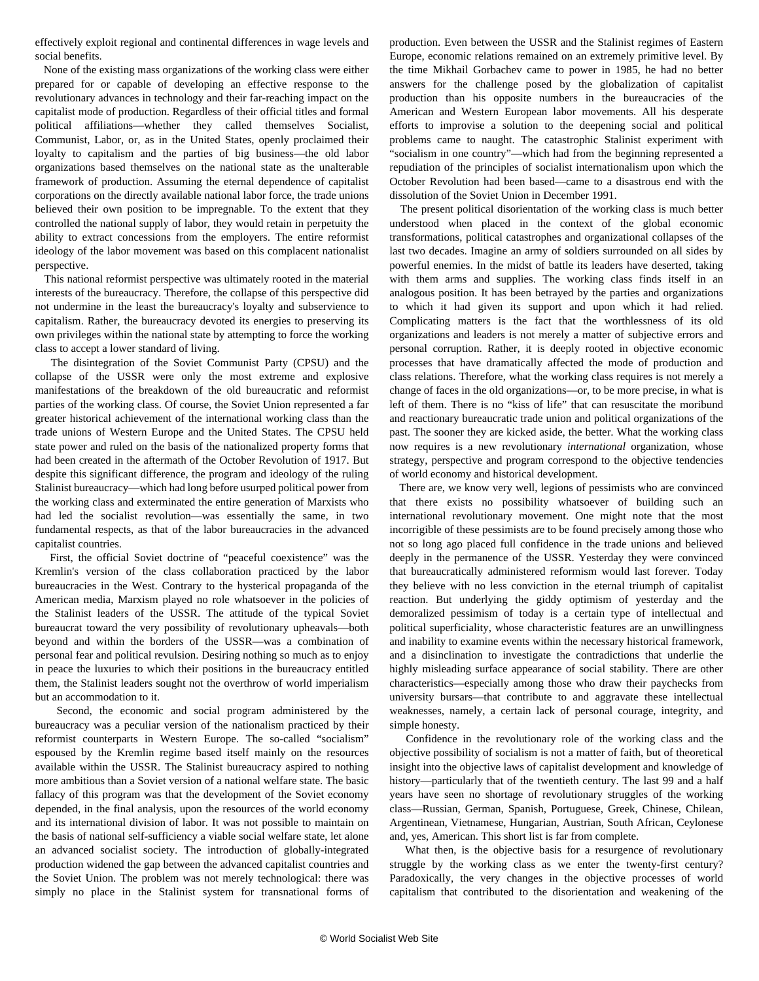effectively exploit regional and continental differences in wage levels and social benefits.

 None of the existing mass organizations of the working class were either prepared for or capable of developing an effective response to the revolutionary advances in technology and their far-reaching impact on the capitalist mode of production. Regardless of their official titles and formal political affiliations—whether they called themselves Socialist, Communist, Labor, or, as in the United States, openly proclaimed their loyalty to capitalism and the parties of big business—the old labor organizations based themselves on the national state as the unalterable framework of production. Assuming the eternal dependence of capitalist corporations on the directly available national labor force, the trade unions believed their own position to be impregnable. To the extent that they controlled the national supply of labor, they would retain in perpetuity the ability to extract concessions from the employers. The entire reformist ideology of the labor movement was based on this complacent nationalist perspective.

 This national reformist perspective was ultimately rooted in the material interests of the bureaucracy. Therefore, the collapse of this perspective did not undermine in the least the bureaucracy's loyalty and subservience to capitalism. Rather, the bureaucracy devoted its energies to preserving its own privileges within the national state by attempting to force the working class to accept a lower standard of living.

 The disintegration of the Soviet Communist Party (CPSU) and the collapse of the USSR were only the most extreme and explosive manifestations of the breakdown of the old bureaucratic and reformist parties of the working class. Of course, the Soviet Union represented a far greater historical achievement of the international working class than the trade unions of Western Europe and the United States. The CPSU held state power and ruled on the basis of the nationalized property forms that had been created in the aftermath of the October Revolution of 1917. But despite this significant difference, the program and ideology of the ruling Stalinist bureaucracy—which had long before usurped political power from the working class and exterminated the entire generation of Marxists who had led the socialist revolution—was essentially the same, in two fundamental respects, as that of the labor bureaucracies in the advanced capitalist countries.

 First, the official Soviet doctrine of "peaceful coexistence" was the Kremlin's version of the class collaboration practiced by the labor bureaucracies in the West. Contrary to the hysterical propaganda of the American media, Marxism played no role whatsoever in the policies of the Stalinist leaders of the USSR. The attitude of the typical Soviet bureaucrat toward the very possibility of revolutionary upheavals—both beyond and within the borders of the USSR—was a combination of personal fear and political revulsion. Desiring nothing so much as to enjoy in peace the luxuries to which their positions in the bureaucracy entitled them, the Stalinist leaders sought not the overthrow of world imperialism but an accommodation to it.

 Second, the economic and social program administered by the bureaucracy was a peculiar version of the nationalism practiced by their reformist counterparts in Western Europe. The so-called "socialism" espoused by the Kremlin regime based itself mainly on the resources available within the USSR. The Stalinist bureaucracy aspired to nothing more ambitious than a Soviet version of a national welfare state. The basic fallacy of this program was that the development of the Soviet economy depended, in the final analysis, upon the resources of the world economy and its international division of labor. It was not possible to maintain on the basis of national self-sufficiency a viable social welfare state, let alone an advanced socialist society. The introduction of globally-integrated production widened the gap between the advanced capitalist countries and the Soviet Union. The problem was not merely technological: there was simply no place in the Stalinist system for transnational forms of production. Even between the USSR and the Stalinist regimes of Eastern Europe, economic relations remained on an extremely primitive level. By the time Mikhail Gorbachev came to power in 1985, he had no better answers for the challenge posed by the globalization of capitalist production than his opposite numbers in the bureaucracies of the American and Western European labor movements. All his desperate efforts to improvise a solution to the deepening social and political problems came to naught. The catastrophic Stalinist experiment with "socialism in one country"—which had from the beginning represented a repudiation of the principles of socialist internationalism upon which the October Revolution had been based—came to a disastrous end with the dissolution of the Soviet Union in December 1991.

 The present political disorientation of the working class is much better understood when placed in the context of the global economic transformations, political catastrophes and organizational collapses of the last two decades. Imagine an army of soldiers surrounded on all sides by powerful enemies. In the midst of battle its leaders have deserted, taking with them arms and supplies. The working class finds itself in an analogous position. It has been betrayed by the parties and organizations to which it had given its support and upon which it had relied. Complicating matters is the fact that the worthlessness of its old organizations and leaders is not merely a matter of subjective errors and personal corruption. Rather, it is deeply rooted in objective economic processes that have dramatically affected the mode of production and class relations. Therefore, what the working class requires is not merely a change of faces in the old organizations—or, to be more precise, in what is left of them. There is no "kiss of life" that can resuscitate the moribund and reactionary bureaucratic trade union and political organizations of the past. The sooner they are kicked aside, the better. What the working class now requires is a new revolutionary *international* organization, whose strategy, perspective and program correspond to the objective tendencies of world economy and historical development.

 There are, we know very well, legions of pessimists who are convinced that there exists no possibility whatsoever of building such an international revolutionary movement. One might note that the most incorrigible of these pessimists are to be found precisely among those who not so long ago placed full confidence in the trade unions and believed deeply in the permanence of the USSR. Yesterday they were convinced that bureaucratically administered reformism would last forever. Today they believe with no less conviction in the eternal triumph of capitalist reaction. But underlying the giddy optimism of yesterday and the demoralized pessimism of today is a certain type of intellectual and political superficiality, whose characteristic features are an unwillingness and inability to examine events within the necessary historical framework, and a disinclination to investigate the contradictions that underlie the highly misleading surface appearance of social stability. There are other characteristics—especially among those who draw their paychecks from university bursars—that contribute to and aggravate these intellectual weaknesses, namely, a certain lack of personal courage, integrity, and simple honesty.

 Confidence in the revolutionary role of the working class and the objective possibility of socialism is not a matter of faith, but of theoretical insight into the objective laws of capitalist development and knowledge of history—particularly that of the twentieth century. The last 99 and a half years have seen no shortage of revolutionary struggles of the working class—Russian, German, Spanish, Portuguese, Greek, Chinese, Chilean, Argentinean, Vietnamese, Hungarian, Austrian, South African, Ceylonese and, yes, American. This short list is far from complete.

 What then, is the objective basis for a resurgence of revolutionary struggle by the working class as we enter the twenty-first century? Paradoxically, the very changes in the objective processes of world capitalism that contributed to the disorientation and weakening of the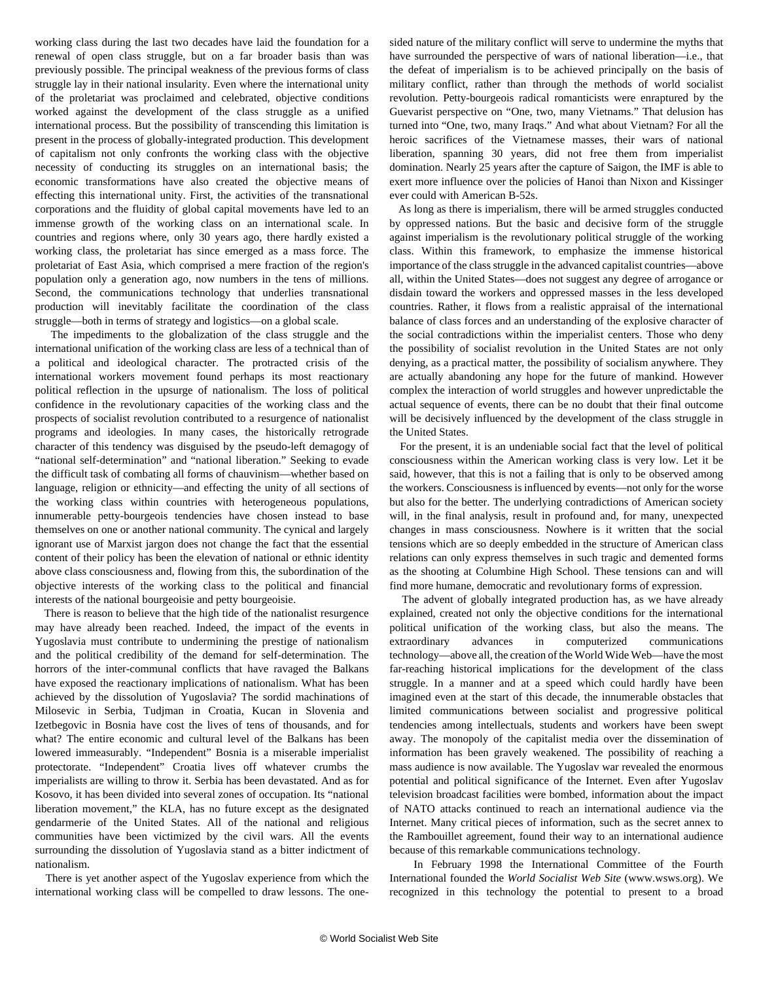working class during the last two decades have laid the foundation for a renewal of open class struggle, but on a far broader basis than was previously possible. The principal weakness of the previous forms of class struggle lay in their national insularity. Even where the international unity of the proletariat was proclaimed and celebrated, objective conditions worked against the development of the class struggle as a unified international process. But the possibility of transcending this limitation is present in the process of globally-integrated production. This development of capitalism not only confronts the working class with the objective necessity of conducting its struggles on an international basis; the economic transformations have also created the objective means of effecting this international unity. First, the activities of the transnational corporations and the fluidity of global capital movements have led to an immense growth of the working class on an international scale. In countries and regions where, only 30 years ago, there hardly existed a working class, the proletariat has since emerged as a mass force. The proletariat of East Asia, which comprised a mere fraction of the region's population only a generation ago, now numbers in the tens of millions. Second, the communications technology that underlies transnational production will inevitably facilitate the coordination of the class struggle—both in terms of strategy and logistics—on a global scale.

 The impediments to the globalization of the class struggle and the international unification of the working class are less of a technical than of a political and ideological character. The protracted crisis of the international workers movement found perhaps its most reactionary political reflection in the upsurge of nationalism. The loss of political confidence in the revolutionary capacities of the working class and the prospects of socialist revolution contributed to a resurgence of nationalist programs and ideologies. In many cases, the historically retrograde character of this tendency was disguised by the pseudo-left demagogy of "national self-determination" and "national liberation." Seeking to evade the difficult task of combating all forms of chauvinism—whether based on language, religion or ethnicity—and effecting the unity of all sections of the working class within countries with heterogeneous populations, innumerable petty-bourgeois tendencies have chosen instead to base themselves on one or another national community. The cynical and largely ignorant use of Marxist jargon does not change the fact that the essential content of their policy has been the elevation of national or ethnic identity above class consciousness and, flowing from this, the subordination of the objective interests of the working class to the political and financial interests of the national bourgeoisie and petty bourgeoisie.

 There is reason to believe that the high tide of the nationalist resurgence may have already been reached. Indeed, the impact of the events in Yugoslavia must contribute to undermining the prestige of nationalism and the political credibility of the demand for self-determination. The horrors of the inter-communal conflicts that have ravaged the Balkans have exposed the reactionary implications of nationalism. What has been achieved by the dissolution of Yugoslavia? The sordid machinations of Milosevic in Serbia, Tudjman in Croatia, Kucan in Slovenia and Izetbegovic in Bosnia have cost the lives of tens of thousands, and for what? The entire economic and cultural level of the Balkans has been lowered immeasurably. "Independent" Bosnia is a miserable imperialist protectorate. "Independent" Croatia lives off whatever crumbs the imperialists are willing to throw it. Serbia has been devastated. And as for Kosovo, it has been divided into several zones of occupation. Its "national liberation movement," the KLA, has no future except as the designated gendarmerie of the United States. All of the national and religious communities have been victimized by the civil wars. All the events surrounding the dissolution of Yugoslavia stand as a bitter indictment of nationalism.

 There is yet another aspect of the Yugoslav experience from which the international working class will be compelled to draw lessons. The onesided nature of the military conflict will serve to undermine the myths that have surrounded the perspective of wars of national liberation—i.e., that the defeat of imperialism is to be achieved principally on the basis of military conflict, rather than through the methods of world socialist revolution. Petty-bourgeois radical romanticists were enraptured by the Guevarist perspective on "One, two, many Vietnams." That delusion has turned into "One, two, many Iraqs." And what about Vietnam? For all the heroic sacrifices of the Vietnamese masses, their wars of national liberation, spanning 30 years, did not free them from imperialist domination. Nearly 25 years after the capture of Saigon, the IMF is able to exert more influence over the policies of Hanoi than Nixon and Kissinger ever could with American B-52s.

 As long as there is imperialism, there will be armed struggles conducted by oppressed nations. But the basic and decisive form of the struggle against imperialism is the revolutionary political struggle of the working class. Within this framework, to emphasize the immense historical importance of the class struggle in the advanced capitalist countries—above all, within the United States—does not suggest any degree of arrogance or disdain toward the workers and oppressed masses in the less developed countries. Rather, it flows from a realistic appraisal of the international balance of class forces and an understanding of the explosive character of the social contradictions within the imperialist centers. Those who deny the possibility of socialist revolution in the United States are not only denying, as a practical matter, the possibility of socialism anywhere. They are actually abandoning any hope for the future of mankind. However complex the interaction of world struggles and however unpredictable the actual sequence of events, there can be no doubt that their final outcome will be decisively influenced by the development of the class struggle in the United States.

 For the present, it is an undeniable social fact that the level of political consciousness within the American working class is very low. Let it be said, however, that this is not a failing that is only to be observed among the workers. Consciousness is influenced by events—not only for the worse but also for the better. The underlying contradictions of American society will, in the final analysis, result in profound and, for many, unexpected changes in mass consciousness. Nowhere is it written that the social tensions which are so deeply embedded in the structure of American class relations can only express themselves in such tragic and demented forms as the shooting at Columbine High School. These tensions can and will find more humane, democratic and revolutionary forms of expression.

 The advent of globally integrated production has, as we have already explained, created not only the objective conditions for the international political unification of the working class, but also the means. The extraordinary advances in computerized communications technology—above all, the creation of the World Wide Web—have the most far-reaching historical implications for the development of the class struggle. In a manner and at a speed which could hardly have been imagined even at the start of this decade, the innumerable obstacles that limited communications between socialist and progressive political tendencies among intellectuals, students and workers have been swept away. The monopoly of the capitalist media over the dissemination of information has been gravely weakened. The possibility of reaching a mass audience is now available. The Yugoslav war revealed the enormous potential and political significance of the Internet. Even after Yugoslav television broadcast facilities were bombed, information about the impact of NATO attacks continued to reach an international audience via the Internet. Many critical pieces of information, such as the secret annex to the Rambouillet agreement, found their way to an international audience because of this remarkable communications technology.

 In February 1998 the International Committee of the Fourth International founded the *World Socialist Web Site* (www.wsws.org). We recognized in this technology the potential to present to a broad